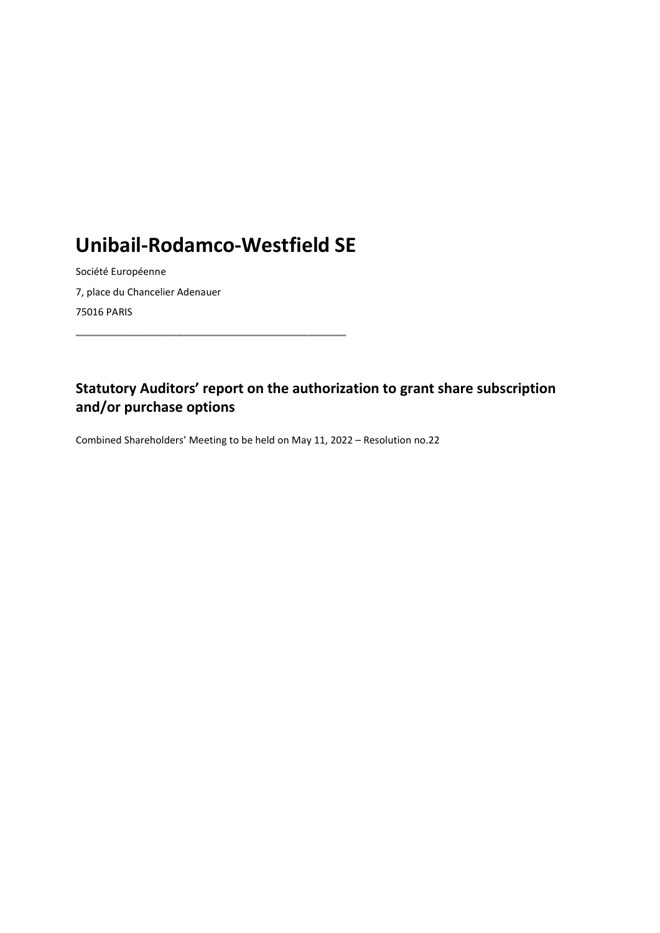## Unibail-Rodamco-Westfield SE

\_\_\_\_\_\_\_\_\_\_\_\_\_\_\_\_\_\_\_\_\_\_\_\_\_\_\_\_\_\_\_\_\_\_\_

Société Européenne 7, place du Chancelier Adenauer 75016 PARIS

## Statutory Auditors' report on the authorization to grant share subscription and/or purchase options

Combined Shareholders' Meeting to be held on May 11, 2022 – Resolution no.22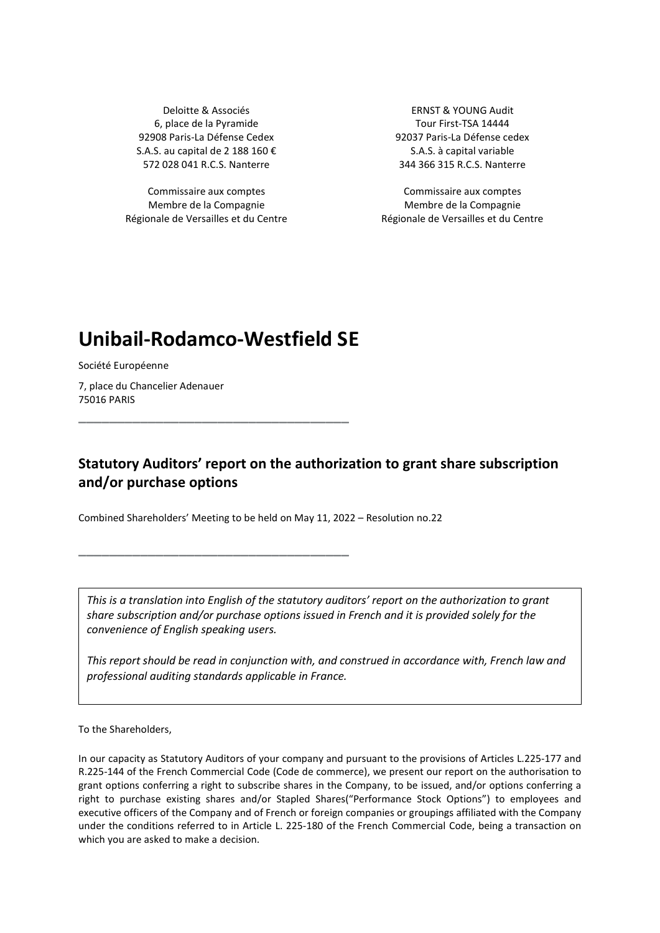Deloitte & Associés ERNST & YOUNG Audit 6, place de la Pyramide Tour First-TSA 14444 S.A.S. au capital de 2 188 160 € S.A.S. à capital variable

Commissaire aux comptes Commissaire aux comptes Membre de la Compagnie Régionale de Versailles et du Centre

92908 Paris-La Défense Cedex 92037 Paris-La Défense cedex 572 028 041 R.C.S. Nanterre 344 366 315 R.C.S. Nanterre

> Membre de la Compagnie Régionale de Versailles et du Centre

## Unibail-Rodamco-Westfield SE

\_\_\_\_\_\_\_\_\_\_\_\_\_\_\_\_\_\_\_\_\_\_\_\_\_\_\_\_\_\_\_\_\_\_\_

\_\_\_\_\_\_\_\_\_\_\_\_\_\_\_\_\_\_\_\_\_\_\_\_\_\_\_\_\_\_\_\_\_\_\_

Société Européenne

7, place du Chancelier Adenauer 75016 PARIS

## Statutory Auditors' report on the authorization to grant share subscription and/or purchase options

Combined Shareholders' Meeting to be held on May 11, 2022 – Resolution no.22

This is a translation into English of the statutory auditors' report on the authorization to grant share subscription and/or purchase options issued in French and it is provided solely for the convenience of English speaking users.

This report should be read in conjunction with, and construed in accordance with, French law and professional auditing standards applicable in France.

To the Shareholders,

In our capacity as Statutory Auditors of your company and pursuant to the provisions of Articles L.225-177 and R.225-144 of the French Commercial Code (Code de commerce), we present our report on the authorisation to grant options conferring a right to subscribe shares in the Company, to be issued, and/or options conferring a right to purchase existing shares and/or Stapled Shares("Performance Stock Options") to employees and executive officers of the Company and of French or foreign companies or groupings affiliated with the Company under the conditions referred to in Article L. 225-180 of the French Commercial Code, being a transaction on which you are asked to make a decision.